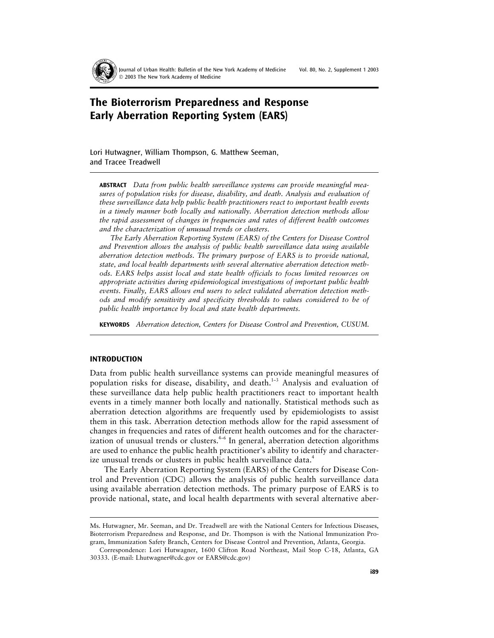

Journal of Urban Health: Bulletin of the New York Academy of Medicine Vol. 80, No. 2, Supplement 1 2003 2003 The New York Academy of Medicine

# **The Bioterrorism Preparedness and Response Early Aberration Reporting System (EARS)**

Lori Hutwagner, William Thompson, G. Matthew Seeman, and Tracee Treadwell

**ABSTRACT** *Data from public health surveillance systems can provide meaningful measures of population risks for disease, disability, and death. Analysis and evaluation of these surveillance data help public health practitioners react to important health events in a timely manner both locally and nationally. Aberration detection methods allow the rapid assessment of changes in frequencies and rates of different health outcomes and the characterization of unusual trends or clusters.*

*The Early Aberration Reporting System (EARS) of the Centers for Disease Control and Prevention allows the analysis of public health surveillance data using available aberration detection methods. The primary purpose of EARS is to provide national, state, and local health departments with several alternative aberration detection methods. EARS helps assist local and state health officials to focus limited resources on appropriate activities during epidemiological investigations of important public health events. Finally, EARS allows end users to select validated aberration detection methods and modify sensitivity and specificity thresholds to values considered to be of public health importance by local and state health departments.*

**KEYWORDS** *Aberration detection, Centers for Disease Control and Prevention, CUSUM.*

# **INTRODUCTION**

Data from public health surveillance systems can provide meaningful measures of population risks for disease, disability, and death.<sup>1-3</sup> Analysis and evaluation of these surveillance data help public health practitioners react to important health events in a timely manner both locally and nationally. Statistical methods such as aberration detection algorithms are frequently used by epidemiologists to assist them in this task. Aberration detection methods allow for the rapid assessment of changes in frequencies and rates of different health outcomes and for the characterization of unusual trends or clusters.<sup> $4-6$ </sup> In general, aberration detection algorithms are used to enhance the public health practitioner's ability to identify and characterize unusual trends or clusters in public health surveillance data.<sup>4</sup>

The Early Aberration Reporting System (EARS) of the Centers for Disease Control and Prevention (CDC) allows the analysis of public health surveillance data using available aberration detection methods. The primary purpose of EARS is to provide national, state, and local health departments with several alternative aber-

Ms. Hutwagner, Mr. Seeman, and Dr. Treadwell are with the National Centers for Infectious Diseases, Bioterrorism Preparedness and Response, and Dr. Thompson is with the National Immunization Program, Immunization Safety Branch, Centers for Disease Control and Prevention, Atlanta, Georgia.

Correspondence: Lori Hutwagner, 1600 Clifton Road Northeast, Mail Stop C-18, Atlanta, GA 30333. (E-mail: Lhutwagner@cdc.gov or EARS@cdc.gov)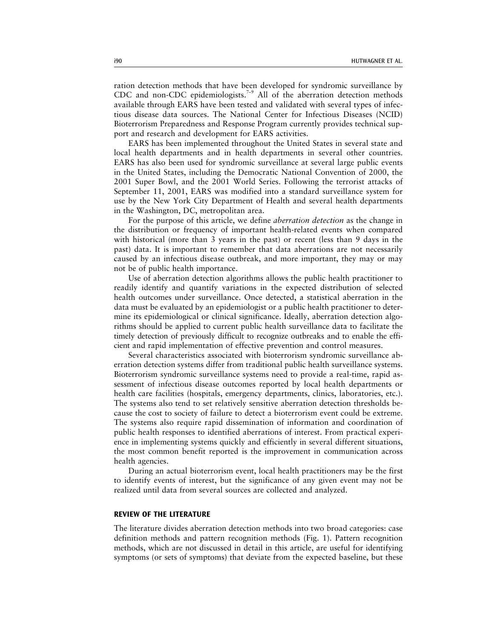ration detection methods that have been developed for syndromic surveillance by CDC and non-CDC epidemiologists.<sup>7-9</sup> All of the aberration detection methods available through EARS have been tested and validated with several types of infectious disease data sources. The National Center for Infectious Diseases (NCID) Bioterrorism Preparedness and Response Program currently provides technical support and research and development for EARS activities.

EARS has been implemented throughout the United States in several state and local health departments and in health departments in several other countries. EARS has also been used for syndromic surveillance at several large public events in the United States, including the Democratic National Convention of 2000, the 2001 Super Bowl, and the 2001 World Series. Following the terrorist attacks of September 11, 2001, EARS was modified into a standard surveillance system for use by the New York City Department of Health and several health departments in the Washington, DC, metropolitan area.

For the purpose of this article, we define *aberration detection* as the change in the distribution or frequency of important health-related events when compared with historical (more than 3 years in the past) or recent (less than 9 days in the past) data. It is important to remember that data aberrations are not necessarily caused by an infectious disease outbreak, and more important, they may or may not be of public health importance.

Use of aberration detection algorithms allows the public health practitioner to readily identify and quantify variations in the expected distribution of selected health outcomes under surveillance. Once detected, a statistical aberration in the data must be evaluated by an epidemiologist or a public health practitioner to determine its epidemiological or clinical significance. Ideally, aberration detection algorithms should be applied to current public health surveillance data to facilitate the timely detection of previously difficult to recognize outbreaks and to enable the efficient and rapid implementation of effective prevention and control measures.

Several characteristics associated with bioterrorism syndromic surveillance aberration detection systems differ from traditional public health surveillance systems. Bioterrorism syndromic surveillance systems need to provide a real-time, rapid assessment of infectious disease outcomes reported by local health departments or health care facilities (hospitals, emergency departments, clinics, laboratories, etc.). The systems also tend to set relatively sensitive aberration detection thresholds because the cost to society of failure to detect a bioterrorism event could be extreme. The systems also require rapid dissemination of information and coordination of public health responses to identified aberrations of interest. From practical experience in implementing systems quickly and efficiently in several different situations, the most common benefit reported is the improvement in communication across health agencies.

During an actual bioterrorism event, local health practitioners may be the first to identify events of interest, but the significance of any given event may not be realized until data from several sources are collected and analyzed.

## **REVIEW OF THE LITERATURE**

The literature divides aberration detection methods into two broad categories: case definition methods and pattern recognition methods (Fig. 1). Pattern recognition methods, which are not discussed in detail in this article, are useful for identifying symptoms (or sets of symptoms) that deviate from the expected baseline, but these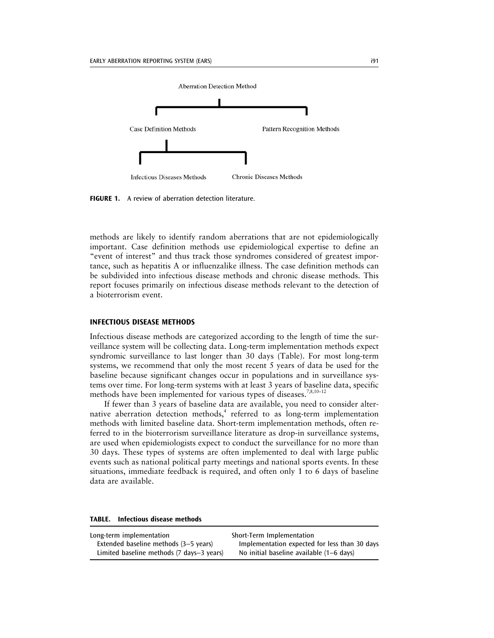

**FIGURE 1.** A review of aberration detection literature.

methods are likely to identify random aberrations that are not epidemiologically important. Case definition methods use epidemiological expertise to define an "event of interest" and thus track those syndromes considered of greatest importance, such as hepatitis A or influenzalike illness. The case definition methods can be subdivided into infectious disease methods and chronic disease methods. This report focuses primarily on infectious disease methods relevant to the detection of a bioterrorism event.

## **INFECTIOUS DISEASE METHODS**

Infectious disease methods are categorized according to the length of time the surveillance system will be collecting data. Long-term implementation methods expect syndromic surveillance to last longer than 30 days (Table). For most long-term systems, we recommend that only the most recent 5 years of data be used for the baseline because significant changes occur in populations and in surveillance systems over time. For long-term systems with at least 3 years of baseline data, specific methods have been implemented for various types of diseases.<sup>7,8,10-12</sup>

If fewer than 3 years of baseline data are available, you need to consider alternative aberration detection methods,<sup>4</sup> referred to as long-term implementation methods with limited baseline data. Short-term implementation methods, often referred to in the bioterrorism surveillance literature as drop-in surveillance systems, are used when epidemiologists expect to conduct the surveillance for no more than 30 days. These types of systems are often implemented to deal with large public events such as national political party meetings and national sports events. In these situations, immediate feedback is required, and often only 1 to 6 days of baseline data are available.

**TABLE. Infectious disease methods**

| Long-term implementation                  | Short-Term Implementation                     |
|-------------------------------------------|-----------------------------------------------|
| Extended baseline methods (3–5 years)     | Implementation expected for less than 30 days |
| Limited baseline methods (7 days-3 years) | No initial baseline available $(1-6$ days)    |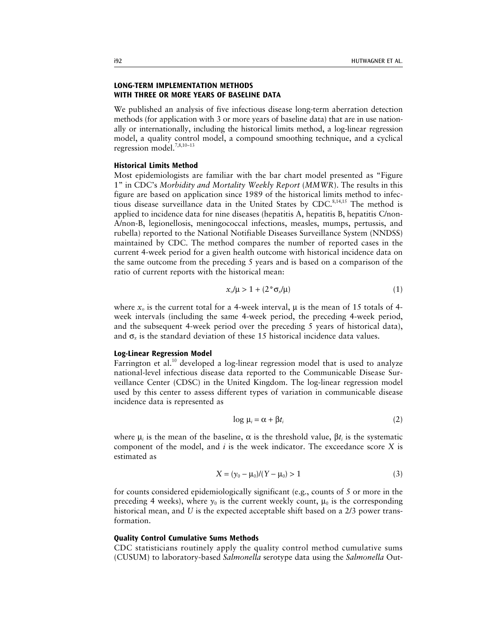## **LONG-TERM IMPLEMENTATION METHODS WITH THREE OR MORE YEARS OF BASELINE DATA**

We published an analysis of five infectious disease long-term aberration detection methods (for application with 3 or more years of baseline data) that are in use nationally or internationally, including the historical limits method, a log-linear regression model, a quality control model, a compound smoothing technique, and a cyclical regression model.7,8,10–13

## **Historical Limits Method**

Most epidemiologists are familiar with the bar chart model presented as "Figure 1" in CDC's *Morbidity and Mortality Weekly Report* (*MMWR*). The results in this figure are based on application since 1989 of the historical limits method to infectious disease surveillance data in the United States by CDC.<sup>8,14,15</sup> The method is applied to incidence data for nine diseases (hepatitis A, hepatitis B, hepatitis C/non-A/non-B, legionellosis, meningococcal infections, measles, mumps, pertussis, and rubella) reported to the National Notifiable Diseases Surveillance System (NNDSS) maintained by CDC. The method compares the number of reported cases in the current 4-week period for a given health outcome with historical incidence data on the same outcome from the preceding 5 years and is based on a comparison of the ratio of current reports with the historical mean:

$$
x_o/\mu > 1 + (2^* \sigma_x/\mu) \tag{1}
$$

where  $x_0$  is the current total for a 4-week interval,  $\mu$  is the mean of 15 totals of 4week intervals (including the same 4-week period, the preceding 4-week period, and the subsequent 4-week period over the preceding 5 years of historical data), and  $\sigma_x$  is the standard deviation of these 15 historical incidence data values.

## **Log-Linear Regression Model**

Farrington et al.<sup>10</sup> developed a log-linear regression model that is used to analyze national-level infectious disease data reported to the Communicable Disease Surveillance Center (CDSC) in the United Kingdom. The log-linear regression model used by this center to assess different types of variation in communicable disease incidence data is represented as

$$
\log \mu_i = \alpha + \beta t_i \tag{2}
$$

where  $\mu_i$  is the mean of the baseline,  $\alpha$  is the threshold value,  $\beta t_i$  is the systematic component of the model, and *i* is the week indicator. The exceedance score *X* is estimated as

$$
X = (y_0 - \mu_0)/(Y - \mu_0) > 1
$$
\n(3)

for counts considered epidemiologically significant (e.g., counts of 5 or more in the preceding 4 weeks), where  $y_0$  is the current weekly count,  $\mu_0$  is the corresponding historical mean, and *U* is the expected acceptable shift based on a 2/3 power transformation.

#### **Quality Control Cumulative Sums Methods**

CDC statisticians routinely apply the quality control method cumulative sums (CUSUM) to laboratory-based *Salmonella* serotype data using the *Salmonella* Out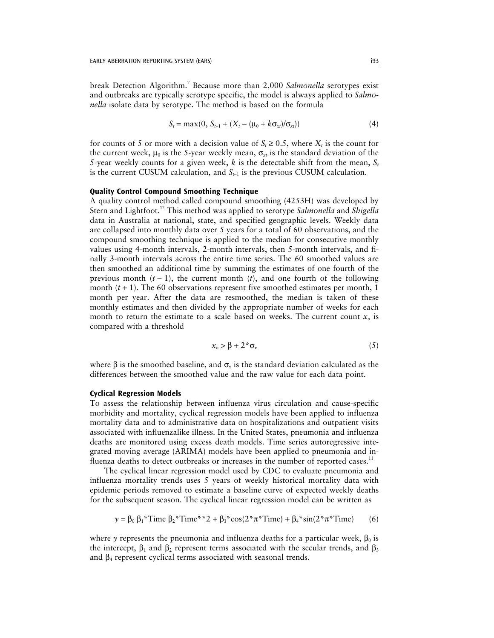break Detection Algorithm.<sup>7</sup> Because more than 2,000 *Salmonella* serotypes exist and outbreaks are typically serotype specific, the model is always applied to *Salmonella* isolate data by serotype. The method is based on the formula

$$
S_t = \max(0, S_{t-1} + (X_t - (\mu_0 + k\sigma_{xt})/\sigma_{xt}))
$$
\n(4)

for counts of 5 or more with a decision value of  $S_t \ge 0.5$ , where  $X_t$  is the count for the current week,  $\mu_0$  is the 5-year weekly mean,  $\sigma_{xt}$  is the standard deviation of the 5-year weekly counts for a given week,  $k$  is the detectable shift from the mean,  $S_t$ is the current CUSUM calculation, and *St*<sup>−</sup><sup>1</sup> is the previous CUSUM calculation.

#### **Quality Control Compound Smoothing Technique**

A quality control method called compound smoothing (4253H) was developed by Stern and Lightfoot.<sup>12</sup> This method was applied to serotype *Salmonella* and *Shigella* data in Australia at national, state, and specified geographic levels. Weekly data are collapsed into monthly data over 5 years for a total of 60 observations, and the compound smoothing technique is applied to the median for consecutive monthly values using 4-month intervals, 2-month intervals, then 5-month intervals, and finally 3-month intervals across the entire time series. The 60 smoothed values are then smoothed an additional time by summing the estimates of one fourth of the previous month  $(t-1)$ , the current month  $(t)$ , and one fourth of the following month  $(t + 1)$ . The 60 observations represent five smoothed estimates per month, 1 month per year. After the data are resmoothed, the median is taken of these monthly estimates and then divided by the appropriate number of weeks for each month to return the estimate to a scale based on weeks. The current count  $x<sub>o</sub>$  is compared with a threshold

$$
x_o > \beta + 2^* \sigma_x \tag{5}
$$

where  $\beta$  is the smoothed baseline, and  $\sigma<sub>x</sub>$  is the standard deviation calculated as the differences between the smoothed value and the raw value for each data point.

#### **Cyclical Regression Models**

To assess the relationship between influenza virus circulation and cause-specific morbidity and mortality, cyclical regression models have been applied to influenza mortality data and to administrative data on hospitalizations and outpatient visits associated with influenzalike illness. In the United States, pneumonia and influenza deaths are monitored using excess death models. Time series autoregressive integrated moving average (ARIMA) models have been applied to pneumonia and influenza deaths to detect outbreaks or increases in the number of reported cases.<sup>11</sup>

The cyclical linear regression model used by CDC to evaluate pneumonia and influenza mortality trends uses 5 years of weekly historical mortality data with epidemic periods removed to estimate a baseline curve of expected weekly deaths for the subsequent season. The cyclical linear regression model can be written as

$$
y = \beta_0 \beta_1^* \text{Time } \beta_2^* \text{Time}^{**} 2 + \beta_3^* \cos(2^* \pi^* \text{Time}) + \beta_4^* \sin(2^* \pi^* \text{Time}) \tag{6}
$$

where *y* represents the pneumonia and influenza deaths for a particular week,  $\beta_0$  is the intercept,  $\beta_1$  and  $\beta_2$  represent terms associated with the secular trends, and  $\beta_3$ and  $\beta_4$  represent cyclical terms associated with seasonal trends.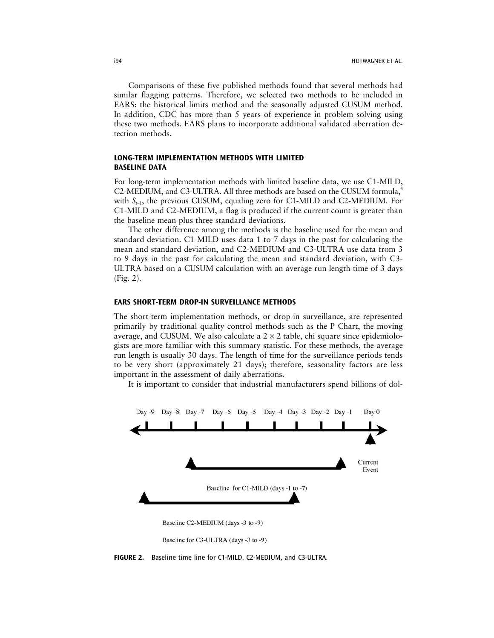Comparisons of these five published methods found that several methods had similar flagging patterns. Therefore, we selected two methods to be included in EARS: the historical limits method and the seasonally adjusted CUSUM method. In addition, CDC has more than 5 years of experience in problem solving using these two methods. EARS plans to incorporate additional validated aberration detection methods.

# **LONG-TERM IMPLEMENTATION METHODS WITH LIMITED BASELINE DATA**

For long-term implementation methods with limited baseline data, we use C1-MILD,  $C2$ -MEDIUM, and  $C3$ -ULTRA. All three methods are based on the CUSUM formula, with *St*−1, the previous CUSUM, equaling zero for C1-MILD and C2-MEDIUM. For C1-MILD and C2-MEDIUM, a flag is produced if the current count is greater than the baseline mean plus three standard deviations.

The other difference among the methods is the baseline used for the mean and standard deviation. C1-MILD uses data 1 to 7 days in the past for calculating the mean and standard deviation, and C2-MEDIUM and C3-ULTRA use data from 3 to 9 days in the past for calculating the mean and standard deviation, with C3- ULTRA based on a CUSUM calculation with an average run length time of 3 days (Fig. 2).

# **EARS SHORT-TERM DROP-IN SURVEILLANCE METHODS**

The short-term implementation methods, or drop-in surveillance, are represented primarily by traditional quality control methods such as the P Chart, the moving average, and CUSUM. We also calculate a  $2 \times 2$  table, chi square since epidemiologists are more familiar with this summary statistic. For these methods, the average run length is usually 30 days. The length of time for the surveillance periods tends to be very short (approximately 21 days); therefore, seasonality factors are less important in the assessment of daily aberrations.

It is important to consider that industrial manufacturers spend billions of dol-



**FIGURE 2.** Baseline time line for C1-MILD, C2-MEDIUM, and C3-ULTRA.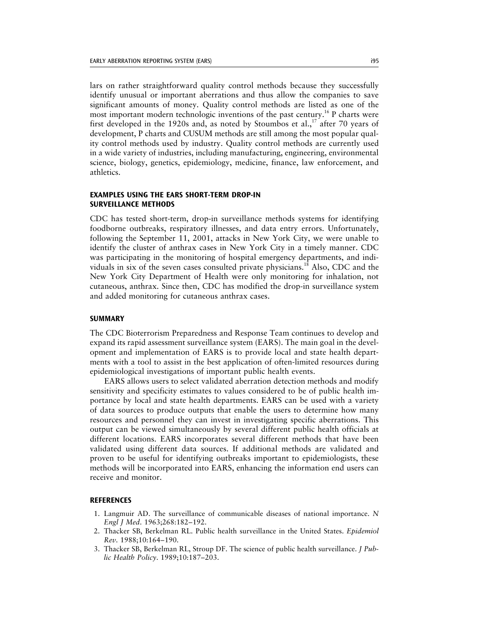lars on rather straightforward quality control methods because they successfully identify unusual or important aberrations and thus allow the companies to save significant amounts of money. Quality control methods are listed as one of the most important modern technologic inventions of the past century.<sup>16</sup> P charts were first developed in the 1920s and, as noted by Stoumbos et al.,<sup>17</sup> after 70 years of development, P charts and CUSUM methods are still among the most popular quality control methods used by industry. Quality control methods are currently used in a wide variety of industries, including manufacturing, engineering, environmental science, biology, genetics, epidemiology, medicine, finance, law enforcement, and athletics.

## **EXAMPLES USING THE EARS SHORT-TERM DROP-IN SURVEILLANCE METHODS**

CDC has tested short-term, drop-in surveillance methods systems for identifying foodborne outbreaks, respiratory illnesses, and data entry errors. Unfortunately, following the September 11, 2001, attacks in New York City, we were unable to identify the cluster of anthrax cases in New York City in a timely manner. CDC was participating in the monitoring of hospital emergency departments, and individuals in six of the seven cases consulted private physicians.<sup>18</sup> Also, CDC and the New York City Department of Health were only monitoring for inhalation, not cutaneous, anthrax. Since then, CDC has modified the drop-in surveillance system and added monitoring for cutaneous anthrax cases.

### **SUMMARY**

The CDC Bioterrorism Preparedness and Response Team continues to develop and expand its rapid assessment surveillance system (EARS). The main goal in the development and implementation of EARS is to provide local and state health departments with a tool to assist in the best application of often-limited resources during epidemiological investigations of important public health events.

EARS allows users to select validated aberration detection methods and modify sensitivity and specificity estimates to values considered to be of public health importance by local and state health departments. EARS can be used with a variety of data sources to produce outputs that enable the users to determine how many resources and personnel they can invest in investigating specific aberrations. This output can be viewed simultaneously by several different public health officials at different locations. EARS incorporates several different methods that have been validated using different data sources. If additional methods are validated and proven to be useful for identifying outbreaks important to epidemiologists, these methods will be incorporated into EARS, enhancing the information end users can receive and monitor.

#### **REFERENCES**

- 1. Langmuir AD. The surveillance of communicable diseases of national importance. *N Engl J Med*. 1963;268:182–192.
- 2. Thacker SB, Berkelman RL. Public health surveillance in the United States. *Epidemiol Rev*. 1988;10:164–190.
- 3. Thacker SB, Berkelman RL, Stroup DF. The science of public health surveillance. *J Public Health Policy*. 1989;10:187–203.